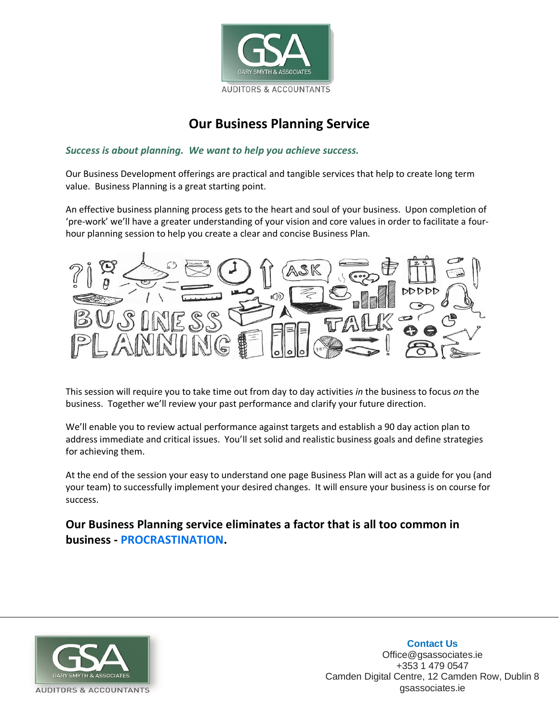

## **Our Business Planning Service**

*Success is about planning. We want to help you achieve success.*

Our Business Development offerings are practical and tangible services that help to create long term value. Business Planning is a great starting point.

An effective business planning process gets to the heart and soul of your business. Upon completion of 'pre-work' we'll have a greater understanding of your vision and core values in order to facilitate a fourhour planning session to help you create a clear and concise Business Plan.



This session will require you to take time out from day to day activities *in* the business to focus *on* the business. Together we'll review your past performance and clarify your future direction.

We'll enable you to review actual performance against targets and establish a 90 day action plan to address immediate and critical issues. You'll set solid and realistic business goals and define strategies for achieving them.

At the end of the session your easy to understand one page Business Plan will act as a guide for you (and your team) to successfully implement your desired changes. It will ensure your business is on course for success.

### **Our Business Planning service eliminates a factor that is all too common in business - PROCRASTINATION.**



**Contact Us** Office@gsassociates.ie +353 1 479 0547 Camden Digital Centre, 12 Camden Row, Dublin 8 gsassociates.ie